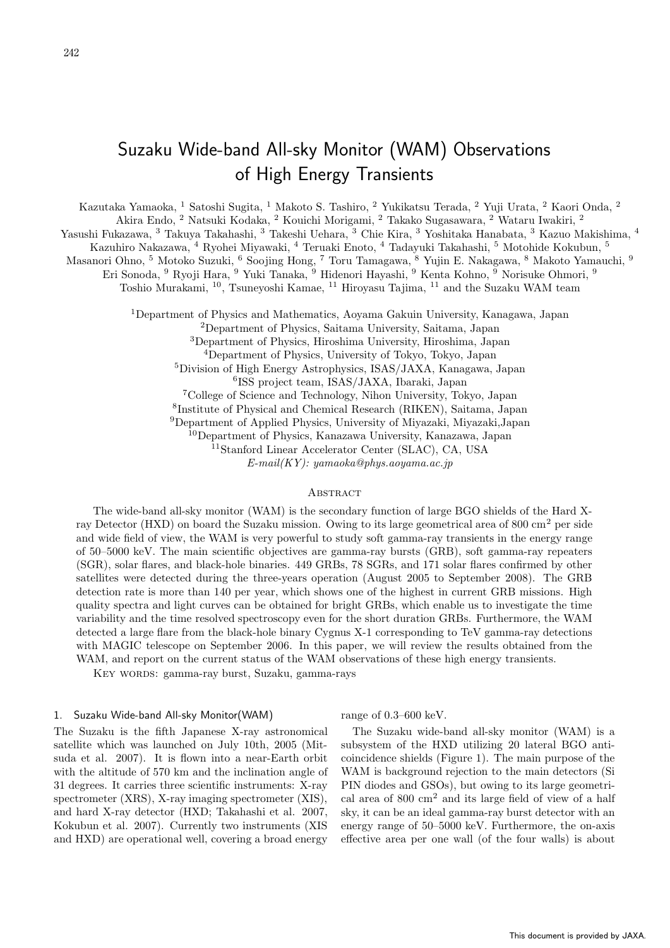# Suzaku Wide-band All-sky Monitor (WAM) Observations of High Energy Transients

Kazutaka Yamaoka, <sup>1</sup> Satoshi Sugita, <sup>1</sup> Makoto S. Tashiro, <sup>2</sup> Yukikatsu Terada, <sup>2</sup> Yuji Urata, <sup>2</sup> Kaori Onda, <sup>2</sup>

Akira Endo,  $^2$  Natsuki Kodaka,  $^2$  Kouichi Morigami,  $^2$  Takako Sugasawara,  $^2$  Wataru Iwakiri,  $^2$ 

Yasushi Fukazawa,  $^3$ Takuya Takahashi, $^3$ Takeshi Uehara,  $^3$  Chie Kira,  $^3$  Yoshitaka Hanabata,  $^3$  Kazuo Makishima,  $^4$ 

Kazuhiro Nakazawa,  $^4$  Ryohei Miyawaki,  $^4$  Teruaki Enoto,  $^4$  Tadayuki Takahashi,  $^5$  Motohide Kokubun,  $^5$ 

Masanori Ohno, <sup>5</sup> Motoko Suzuki, <sup>6</sup> Soojing Hong, <sup>7</sup> Toru Tamagawa, <sup>8</sup> Yujin E. Nakagawa, <sup>8</sup> Makoto Yamauchi, <sup>9</sup>

Eri Sonoda, <sup>9</sup> Ryoji Hara, <sup>9</sup> Yuki Tanaka, <sup>9</sup> Hidenori Hayashi, <sup>9</sup> Kenta Kohno, <sup>9</sup> Norisuke Ohmori, <sup>9</sup>

Toshio Murakami, <sup>10</sup>, Tsuneyoshi Kamae, <sup>11</sup> Hiroyasu Tajima, <sup>11</sup> and the Suzaku WAM team

Department of Physics and Mathematics, Aoyama Gakuin University, Kanagawa, Japan Department of Physics, Saitama University, Saitama, Japan Department of Physics, Hiroshima University, Hiroshima, Japan Department of Physics, University of Tokyo, Tokyo, Japan Division of High Energy Astrophysics, ISAS/JAXA, Kanagawa, Japan ISS project team, ISAS/JAXA, Ibaraki, Japan College of Science and Technology, Nihon University, Tokyo, Japan Institute of Physical and Chemical Research (RIKEN), Saitama, Japan Department of Applied Physics, University of Miyazaki, Miyazaki,Japan Department of Physics, Kanazawa University, Kanazawa, Japan Stanford Linear Accelerator Center (SLAC), CA, USA

 $E-mail(KY): yamaoka@phys.aoyama.ac.jp$ 

#### **ABSTRACT**

The wide-band all-sky monitor (WAM) is the secondary function of large BGO shields of the Hard Xray Detector (HXD) on board the Suzaku mission. Owing to its large geometrical area of 800 cm<sup>2</sup> per side and wide field of view, the WAM is very powerful to study soft gamma-ray transients in the energy range of 50–5000 keV. The main scientific objectives are gamma-ray bursts (GRB), soft gamma-ray repeaters (SGR), solar flares, and black-hole binaries. 449 GRBs, 78 SGRs, and 171 solar flares confirmed by other satellites were detected during the three-years operation (August 2005 to September 2008). The GRB detection rate is more than 140 per year, which shows one of the highest in current GRB missions. High quality spectra and light curves can be obtained for bright GRBs, which enable us to investigate the time variability and the time resolved spectroscopy even for the short duration GRBs. Furthermore, the WAM detected a large flare from the black-hole binary Cygnus X-1 corresponding to TeV gamma-ray detections with MAGIC telescope on September 2006. In this paper, we will review the results obtained from the WAM, and report on the current status of the WAM observations of these high energy transients.

Key words: gamma-ray burst, Suzaku, gamma-rays

## 1. Suzaku Wide-band All-sky Monitor(WAM)

The Suzaku is the fifth Japanese X-ray astronomical satellite which was launched on July 10th, 2005 (Mitsuda et al. 2007). It is flown into a near-Earth orbit with the altitude of 570 km and the inclination angle of 31 degrees. It carries three scientific instruments: X-ray spectrometer (XRS), X-ray imaging spectrometer (XIS), and hard X-ray detector (HXD; Takahashi et al. 2007, Kokubun et al. 2007). Currently two instruments (XIS and HXD) are operational well, covering a broad energy range of 0.3–600 keV.

The Suzaku wide-band all-sky monitor (WAM) is a subsystem of the HXD utilizing 20 lateral BGO anticoincidence shields (Figure 1). The main purpose of the WAM is background rejection to the main detectors (Si PIN diodes and GSOs), but owing to its large geometrical area of  $800 \text{ cm}^2$  and its large field of view of a half sky, it can be an ideal gamma-ray burst detector with an energy range of 50–5000 keV. Furthermore, the on-axis effective area per one wall (of the four walls) is about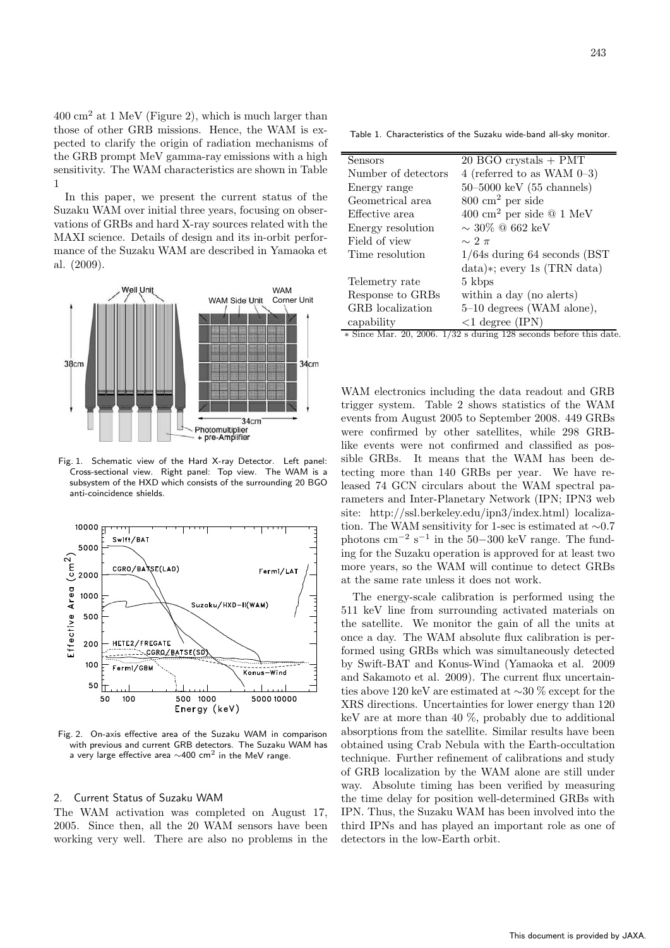$400 \text{ cm}^2$  at 1 MeV (Figure 2), which is much larger than those of other GRB missions. Hence, the WAM is expected to clarify the origin of radiation mechanisms of the GRB prompt MeV gamma-ray emissions with a high sensitivity. The WAM characteristics are shown in Table 1

In this paper, we present the current status of the Suzaku WAM over initial three years, focusing on observations of GRBs and hard X-ray sources related with the MAXI science. Details of design and its in-orbit performance of the Suzaku WAM are described in Yamaoka et al. (2009).



Fig. 1. Schematic view of the Hard X-ray Detector. Left panel: Cross-sectional view. Right panel: Top view. The WAM is a subsystem of the HXD which consists of the surrounding 20 BGO anti-coincidence shields.



Fig. 2. On-axis effective area of the Suzaku WAM in comparison with previous and current GRB detectors. The Suzaku WAM has a very large effective area ∼400 cm<sup>2</sup> in the MeV range.

## 2. Current Status of Suzaku WAM

The WAM activation was completed on August 17, 2005. Since then, all the 20 WAM sensors have been working very well. There are also no problems in the

Table 1. Characteristics of the Suzaku wide-band all-sky monitor.

| Sensors              | $20$ BGO crystals $+$ PMT                        |
|----------------------|--------------------------------------------------|
| Number of detectors  | 4 (referred to as WAM $0-3$ )                    |
| Energy range         | $50 - 5000 \text{ keV}$ (55 channels)            |
| Geometrical area     | $800 \text{ cm}^2 \text{ per side}$              |
| Effective area       | $400 \text{ cm}^2$ per side $@ 1 \text{ MeV}$    |
| Energy resolution    | $\sim$ 30\% @ 662 keV                            |
| Field of view        | $\sim$ 2 $\pi$                                   |
| Time resolution      | $1/64s$ during 64 seconds (BST)                  |
|                      | $data$ )*; every 1s (TRN data)                   |
| Telemetry rate       | 5 kbps                                           |
| Response to GRBs     | within a day (no alerts)                         |
| GRB localization     | 5-10 degrees (WAM alone),                        |
| capability           | $<$ 1 degree (IPN)                               |
| $\sqrt{2}$<br>00.000 | $\cdots$<br>$1 \quad 1 \quad c$<br>$1 \cdot 100$ |

∗ Since Mar. 20, 2006. 1/32 s during 128 seconds before this date.

WAM electronics including the data readout and GRB trigger system. Table 2 shows statistics of the WAM events from August 2005 to September 2008. 449 GRBs were confirmed by other satellites, while 298 GRBlike events were not confirmed and classified as possible GRBs. It means that the WAM has been detecting more than 140 GRBs per year. We have released 74 GCN circulars about the WAM spectral parameters and Inter-Planetary Network (IPN; IPN3 web site: http://ssl.berkeley.edu/ipn3/index.html) localization. The WAM sensitivity for 1-sec is estimated at ∼0.7 photons cm<sup>-2</sup> s<sup>-1</sup> in the 50–300 keV range. The funding for the Suzaku operation is approved for at least two more years, so the WAM will continue to detect GRBs at the same rate unless it does not work.

The energy-scale calibration is performed using the 511 keV line from surrounding activated materials on the satellite. We monitor the gain of all the units at once a day. The WAM absolute flux calibration is performed using GRBs which was simultaneously detected by Swift-BAT and Konus-Wind (Yamaoka et al. 2009 and Sakamoto et al. 2009). The current flux uncertainties above 120 keV are estimated at ∼30 % except for the XRS directions. Uncertainties for lower energy than 120 keV are at more than 40 %, probably due to additional absorptions from the satellite. Similar results have been obtained using Crab Nebula with the Earth-occultation technique. Further refinement of calibrations and study of GRB localization by the WAM alone are still under way. Absolute timing has been verified by measuring the time delay for position well-determined GRBs with IPN. Thus, the Suzaku WAM has been involved into the third IPNs and has played an important role as one of detectors in the low-Earth orbit.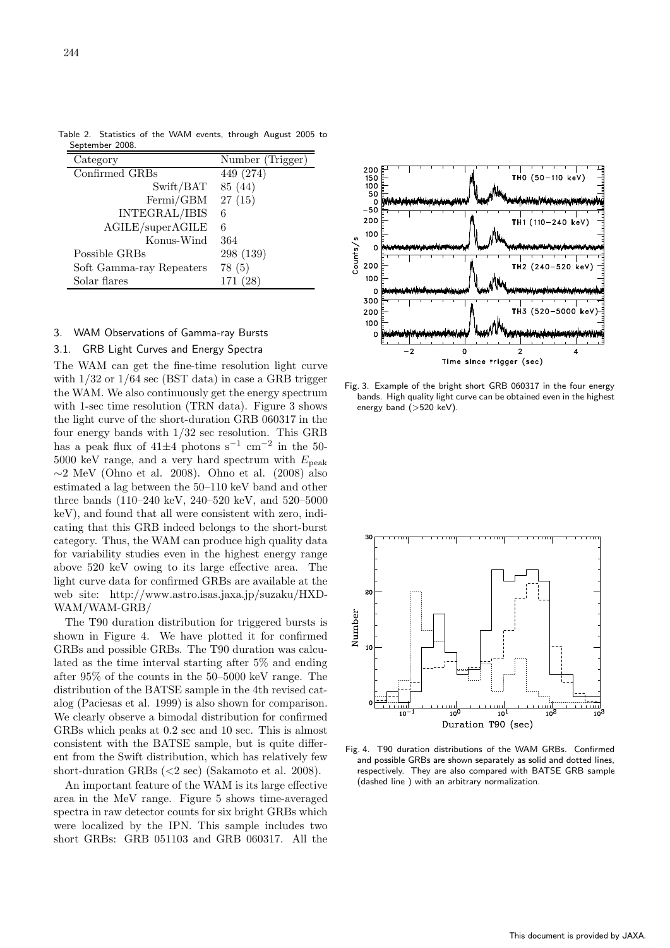| $= 0.000$                |                  |
|--------------------------|------------------|
| Category                 | Number (Trigger) |
| Confirmed GRBs           | 449 (274)        |
| Swift/BAT                | 85 (44)          |
| Fermi/GBM                | 27(15)           |
| INTEGRAL/IBIS            | 6                |
| AGILE/superAGILE         | 6                |
| Konus-Wind               | 364              |
| Possible GRBs            | 298 (139)        |
| Soft Gamma-ray Repeaters | 78(5)            |
| Solar flares             | 171 (28)         |

Table 2. Statistics of the WAM events, through August 2005 to September 2008

#### 3. WAM Observations of Gamma-ray Bursts

## 3.1. GRB Light Curves and Energy Spectra

The WAM can get the fine-time resolution light curve with 1/32 or 1/64 sec (BST data) in case a GRB trigger the WAM. We also continuously get the energy spectrum with 1-sec time resolution (TRN data). Figure 3 shows the light curve of the short-duration GRB 060317 in the four energy bands with 1/32 sec resolution. This GRB has a peak flux of  $41\pm4$  photons s<sup>-1</sup> cm<sup>-2</sup> in the 50- $5000$  keV range, and a very hard spectrum with  $E_{\rm peak}$  $\sim$ 2 MeV (Ohno et al. 2008). Ohno et al. (2008) also estimated a lag between the 50–110 keV band and other three bands (110–240 keV, 240–520 keV, and 520–5000 keV), and found that all were consistent with zero, indicating that this GRB indeed belongs to the short-burst category. Thus, the WAM can produce high quality data for variability studies even in the highest energy range above 520 keV owing to its large effective area. The light curve data for confirmed GRBs are available at the web site: http://www.astro.isas.jaxa.jp/suzaku/HXD-WAM/WAM-GRB/

The T90 duration distribution for triggered bursts is shown in Figure 4. We have plotted it for confirmed GRBs and possible GRBs. The T90 duration was calculated as the time interval starting after 5% and ending after 95% of the counts in the 50–5000 keV range. The distribution of the BATSE sample in the 4th revised catalog (Paciesas et al. 1999) is also shown for comparison. We clearly observe a bimodal distribution for confirmed GRBs which peaks at 0.2 sec and 10 sec. This is almost consistent with the BATSE sample, but is quite different from the Swift distribution, which has relatively few short-duration GRBs (<2 sec) (Sakamoto et al. 2008).

An important feature of the WAM is its large effective area in the MeV range. Figure 5 shows time-averaged spectra in raw detector counts for six bright GRBs which were localized by the IPN. This sample includes two short GRBs: GRB 051103 and GRB 060317. All the



Fig. 3. Example of the bright short GRB 060317 in the four energy bands. High quality light curve can be obtained even in the highest energy band (>520 keV).



Fig. 4. T90 duration distributions of the WAM GRBs. Confirmed and possible GRBs are shown separately as solid and dotted lines, respectively. They are also compared with BATSE GRB sample (dashed line ) with an arbitrary normalization.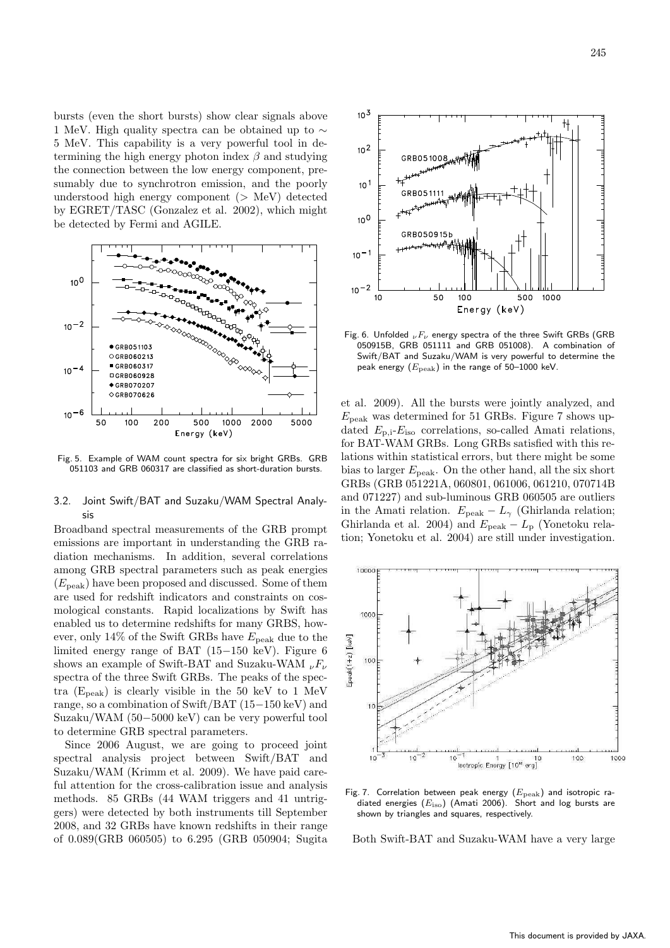bursts (even the short bursts) show clear signals above 1 MeV. High quality spectra can be obtained up to ∼ 5 MeV. This capability is a very powerful tool in determining the high energy photon index  $\beta$  and studying the connection between the low energy component, presumably due to synchrotron emission, and the poorly understood high energy component  $($   $>$  MeV $)$  detected by EGRET/TASC (Gonzalez et al. 2002), which might be detected by Fermi and AGILE.



Fig. 5. Example of WAM count spectra for six bright GRBs. GRB 051103 and GRB 060317 are classified as short-duration bursts.

# 3.2. Joint Swift/BAT and Suzaku/WAM Spectral Analysis

Broadband spectral measurements of the GRB prompt emissions are important in understanding the GRB radiation mechanisms. In addition, several correlations among GRB spectral parameters such as peak energies  $(E_{\text{peak}})$  have been proposed and discussed. Some of them are used for redshift indicators and constraints on cosmological constants. Rapid localizations by Swift has enabled us to determine redshifts for many GRBS, however, only 14% of the Swift GRBs have  $E_{\text{peak}}$  due to the limited energy range of BAT (15−150 keV). Figure 6 shows an example of Swift-BAT and Suzaku-WAM  $_{\nu}F_{\nu}$ spectra of the three Swift GRBs. The peaks of the spectra  $(E_{peak})$  is clearly visible in the 50 keV to 1 MeV range, so a combination of Swift/BAT (15−150 keV) and Suzaku/WAM (50−5000 keV) can be very powerful tool to determine GRB spectral parameters.

Since 2006 August, we are going to proceed joint spectral analysis project between Swift/BAT and Suzaku/WAM (Krimm et al. 2009). We have paid careful attention for the cross-calibration issue and analysis methods. 85 GRBs (44 WAM triggers and 41 untriggers) were detected by both instruments till September 2008, and 32 GRBs have known redshifts in their range of 0.089(GRB 060505) to 6.295 (GRB 050904; Sugita



Fig. 6. Unfolded  $_{\nu}F_{\nu}$  energy spectra of the three Swift GRBs (GRB 050915B, GRB 051111 and GRB 051008). A combination of Swift/BAT and Suzaku/WAM is very powerful to determine the peak energy  $(E_{\rm peak})$  in the range of 50–1000 keV.

et al. 2009). All the bursts were jointly analyzed, and  $E_{\text{peak}}$  was determined for 51 GRBs. Figure 7 shows updated  $E_{\text{p,i}}-E_{\text{iso}}$  correlations, so-called Amati relations, for BAT-WAM GRBs. Long GRBs satisfied with this relations within statistical errors, but there might be some bias to larger  $E_{\text{peak}}$ . On the other hand, all the six short GRBs (GRB 051221A, 060801, 061006, 061210, 070714B and 071227) and sub-luminous GRB 060505 are outliers in the Amati relation.  $E_{\text{peak}} - L_{\gamma}$  (Ghirlanda relation; Ghirlanda et al. 2004) and  $E_{\text{peak}} - L_{\text{p}}$  (Yonetoku relation; Yonetoku et al. 2004) are still under investigation.



Fig. 7. Correlation between peak energy  $(E_{\text{peak}})$  and isotropic radiated energies  $(E_{\text{iso}})$  (Amati 2006). Short and log bursts are shown by triangles and squares, respectively.

Both Swift-BAT and Suzaku-WAM have a very large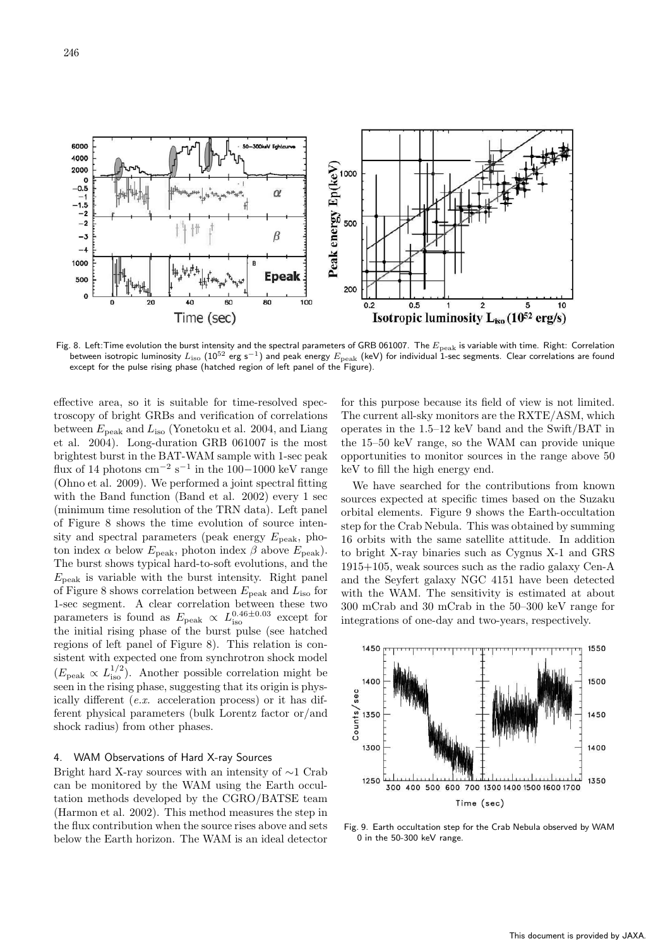

Fig. 8. Left:Time evolution the burst intensity and the spectral parameters of GRB 061007. The  $E_{\rm peak}$  is variable with time. Right: Correlation between isotropic luminosity  $L_{\rm iso}$   $(10^{52}$  erg s<sup>−1</sup>) and peak energy  $E_{\rm peak}$  (keV) for individual 1-sec segments. Clear correlations are found except for the pulse rising phase (hatched region of left panel of the Figure).

effective area, so it is suitable for time-resolved spectroscopy of bright GRBs and verification of correlations between  $E_{\text{peak}}$  and  $L_{\text{iso}}$  (Yonetoku et al. 2004, and Liang et al. 2004). Long-duration GRB 061007 is the most brightest burst in the BAT-WAM sample with 1-sec peak flux of 14 photons cm<sup>-2</sup> s<sup>-1</sup> in the 100−1000 keV range (Ohno et al. 2009). We performed a joint spectral fitting with the Band function (Band et al. 2002) every 1 sec (minimum time resolution of the TRN data). Left panel of Figure 8 shows the time evolution of source intensity and spectral parameters (peak energy  $E_{\text{peak}}$ , photon index  $\alpha$  below  $E_{\text{peak}}$ , photon index  $\beta$  above  $E_{\text{peak}}$ ). The burst shows typical hard-to-soft evolutions, and the  $E_{\text{peak}}$  is variable with the burst intensity. Right panel of Figure 8 shows correlation between  $E_{\rm peak}$  and  $L_{\rm iso}$  for 1-sec segment. A clear correlation between these two parameters is found as  $E_{\rm peak} \propto L_{\rm iso}^{0.46\pm0.03}$  except for the initial rising phase of the burst pulse (see hatched regions of left panel of Figure 8). This relation is consistent with expected one from synchrotron shock model  $(E_{\text{peak}} \propto L_{\text{iso}}^{1/2})$ . Another possible correlation might be seen in the rising phase, suggesting that its origin is physically different (e.x. acceleration process) or it has different physical parameters (bulk Lorentz factor or/and shock radius) from other phases.

### 4. WAM Observations of Hard X-ray Sources

Bright hard X-ray sources with an intensity of ∼1 Crab can be monitored by the WAM using the Earth occultation methods developed by the CGRO/BATSE team (Harmon et al. 2002). This method measures the step in the flux contribution when the source rises above and sets below the Earth horizon. The WAM is an ideal detector

for this purpose because its field of view is not limited. The current all-sky monitors are the RXTE/ASM, which operates in the 1.5–12 keV band and the Swift/BAT in the 15–50 keV range, so the WAM can provide unique opportunities to monitor sources in the range above 50 keV to fill the high energy end.

We have searched for the contributions from known sources expected at specific times based on the Suzaku orbital elements. Figure 9 shows the Earth-occultation step for the Crab Nebula. This was obtained by summing 16 orbits with the same satellite attitude. In addition to bright X-ray binaries such as Cygnus X-1 and GRS 1915+105, weak sources such as the radio galaxy Cen-A and the Seyfert galaxy NGC 4151 have been detected with the WAM. The sensitivity is estimated at about 300 mCrab and 30 mCrab in the 50–300 keV range for integrations of one-day and two-years, respectively.



Fig. 9. Earth occultation step for the Crab Nebula observed by WAM 0 in the 50-300 keV range.